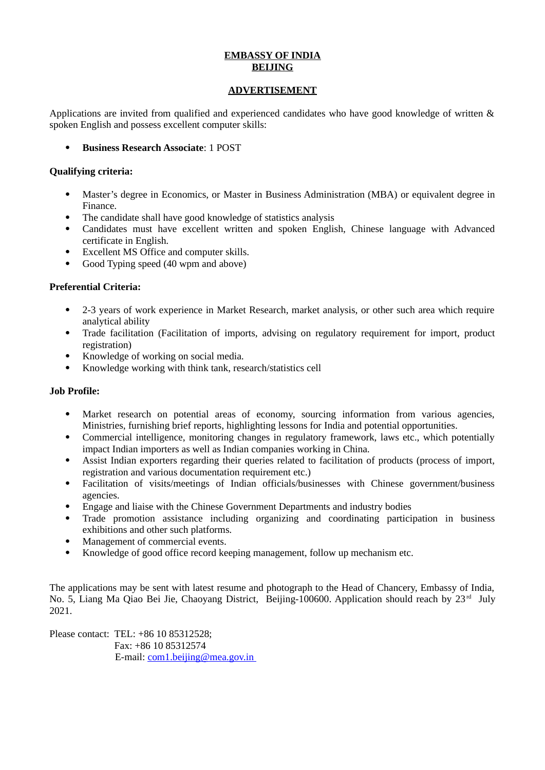## **EMBASSY OF INDIA BEIJING**

#### **ADVERTISEMENT**

Applications are invited from qualified and experienced candidates who have good knowledge of written & spoken English and possess excellent computer skills:

**Business Research Associate**: 1 POST

### **Qualifying criteria:**

- Master's degree in Economics, or Master in Business Administration (MBA) or equivalent degree in Finance.
- The candidate shall have good knowledge of statistics analysis
- Candidates must have excellent written and spoken English, Chinese language with Advanced certificate in English.
- Excellent MS Office and computer skills.
- Good Typing speed (40 wpm and above)

## **Preferential Criteria:**

- 2-3 years of work experience in Market Research, market analysis, or other such area which require analytical ability
- Trade facilitation (Facilitation of imports, advising on regulatory requirement for import, product registration)
- Knowledge of working on social media.
- Knowledge working with think tank, research/statistics cell

#### **Job Profile:**

- Market research on potential areas of economy, sourcing information from various agencies, Ministries, furnishing brief reports, highlighting lessons for India and potential opportunities.
- Commercial intelligence, monitoring changes in regulatory framework, laws etc., which potentially impact Indian importers as well as Indian companies working in China.
- Assist Indian exporters regarding their queries related to facilitation of products (process of import, registration and various documentation requirement etc.)
- Facilitation of visits/meetings of Indian officials/businesses with Chinese government/business agencies.
- Engage and liaise with the Chinese Government Departments and industry bodies
- Trade promotion assistance including organizing and coordinating participation in business exhibitions and other such platforms.
- Management of commercial events.
- Knowledge of good office record keeping management, follow up mechanism etc.

The applications may be sent with latest resume and photograph to the Head of Chancery, Embassy of India, No. 5, Liang Ma Qiao Bei Jie, Chaoyang District, Beijing-100600. Application should reach by 23<sup>rd</sup> July 2021.

Please contact: TEL: +86 10 85312528; Fax: +86 10 85312574 E-mail: [com1.beijing@mea.gov.in](mailto:com1.beijing@mea.gov.in)